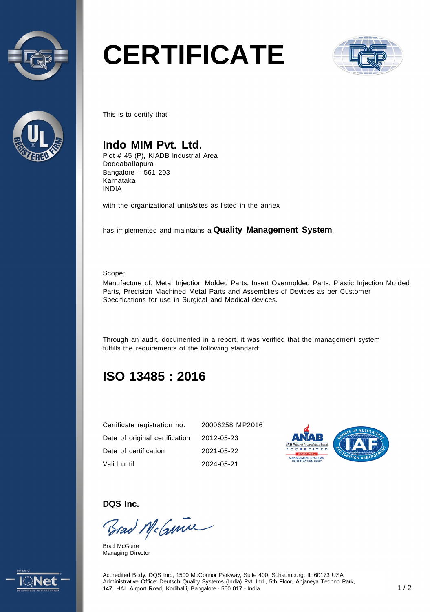



# **CERTIFICATE**



This is to certify that

#### **Indo MIM Pvt. Ltd.**

Plot # 45 (P), KIADB Industrial Area Doddaballapura Bangalore – 561 203 Karnataka INDIA

with the organizational units/sites as listed in the annex

has implemented and maintains a **Quality Management System**.

Scope:

Manufacture of, Metal Injection Molded Parts, Insert Overmolded Parts, Plastic Injection Molded Parts, Precision Machined Metal Parts and Assemblies of Devices as per Customer Specifications for use in Surgical and Medical devices.

Through an audit, documented in a report, it was verified that the management system fulfills the requirements of the following standard:

## **ISO 13485 : 2016**

| Certificate registration no.   | 20006258 MP2016 |
|--------------------------------|-----------------|
| Date of original certification | 2012-05-23      |
| Date of certification          | 2021-05-22      |
| Valid until                    | 2024-05-21      |



**DQS Inc.** 

Brad McGmin

Brad McGuire Managing Director



Accredited Body: DQS Inc., 1500 McConnor Parkway, Suite 400, Schaumburg, IL 60173 USA Administrative Office: Deutsch Quality Systems (India) Pvt. Ltd., 5th Floor, Anjaneya Techno Park, 147, HAL Airport Road, Kodihalli, Bangalore - 560 017 - India 1 / 2